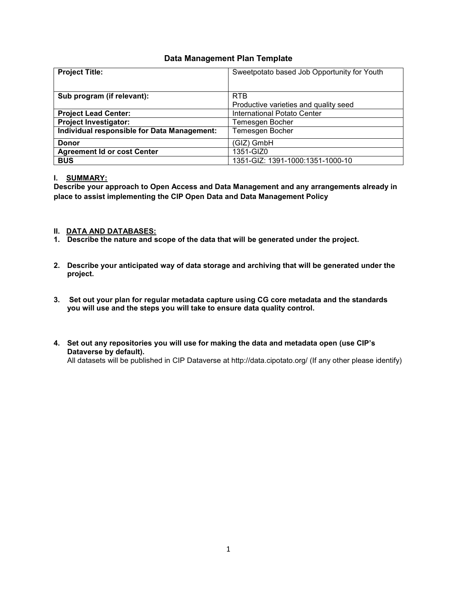# **Data Management Plan Template**

| <b>Project Title:</b>                       | Sweetpotato based Job Opportunity for Youth |  |  |  |
|---------------------------------------------|---------------------------------------------|--|--|--|
|                                             |                                             |  |  |  |
| Sub program (if relevant):                  | <b>RTB</b>                                  |  |  |  |
|                                             | Productive varieties and quality seed       |  |  |  |
| <b>Project Lead Center:</b>                 | International Potato Center                 |  |  |  |
| <b>Project Investigator:</b>                | Temesgen Bocher                             |  |  |  |
| Individual responsible for Data Management: | Temesgen Bocher                             |  |  |  |
| <b>Donor</b>                                | (GIZ) GmbH                                  |  |  |  |
| <b>Agreement Id or cost Center</b>          | 1351-GIZ0                                   |  |  |  |
| <b>BUS</b>                                  | 1351-GIZ: 1391-1000:1351-1000-10            |  |  |  |

## **I. SUMMARY:**

**Describe your approach to Open Access and Data Management and any arrangements already in place to assist implementing the CIP Open Data and Data Management Policy**

## **II. DATA AND DATABASES:**

- **1. Describe the nature and scope of the data that will be generated under the project.**
- **2. Describe your anticipated way of data storage and archiving that will be generated under the project.**
- **3. Set out your plan for regular metadata capture using CG core metadata and the standards you will use and the steps you will take to ensure data quality control.**
- **4. Set out any repositories you will use for making the data and metadata open (use CIP's Dataverse by default).** All datasets will be published in CIP Dataverse at http://data.cipotato.org/ (If any other please identify)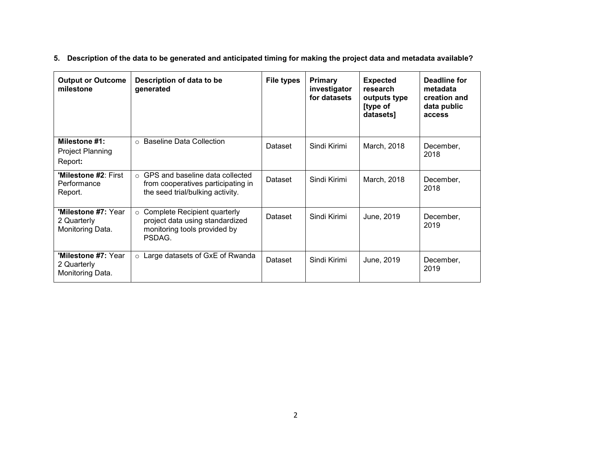**5. Description of the data to be generated and anticipated timing for making the project data and metadata available?** 

| <b>Output or Outcome</b><br>milestone                         | Description of data to be<br>generated                                                                            | <b>File types</b> | Primary<br>investigator<br>for datasets | <b>Expected</b><br>research<br>outputs type<br>[type of<br>datasets] | Deadline for<br>metadata<br>creation and<br>data public<br>access |
|---------------------------------------------------------------|-------------------------------------------------------------------------------------------------------------------|-------------------|-----------------------------------------|----------------------------------------------------------------------|-------------------------------------------------------------------|
| Milestone #1:<br><b>Project Planning</b><br>Report:           | ○ Baseline Data Collection                                                                                        | Dataset           | Sindi Kirimi                            | March, 2018                                                          | December,<br>2018                                                 |
| <b>'Milestone #2: First</b><br>Performance<br>Report.         | $\circ$ GPS and baseline data collected<br>from cooperatives participating in<br>the seed trial/bulking activity. | Dataset           | Sindi Kirimi                            | March, 2018                                                          | December,<br>2018                                                 |
| 'Milestone #7: Year<br>2 Quarterly<br>Monitoring Data.        | $\circ$ Complete Recipient quarterly<br>project data using standardized<br>monitoring tools provided by<br>PSDAG. | Dataset           | Sindi Kirimi                            | June, 2019                                                           | December,<br>2019                                                 |
| <b>'Milestone #7: Year</b><br>2 Quarterly<br>Monitoring Data. | ○ Large datasets of GxE of Rwanda                                                                                 | Dataset           | Sindi Kirimi                            | June, 2019                                                           | December,<br>2019                                                 |